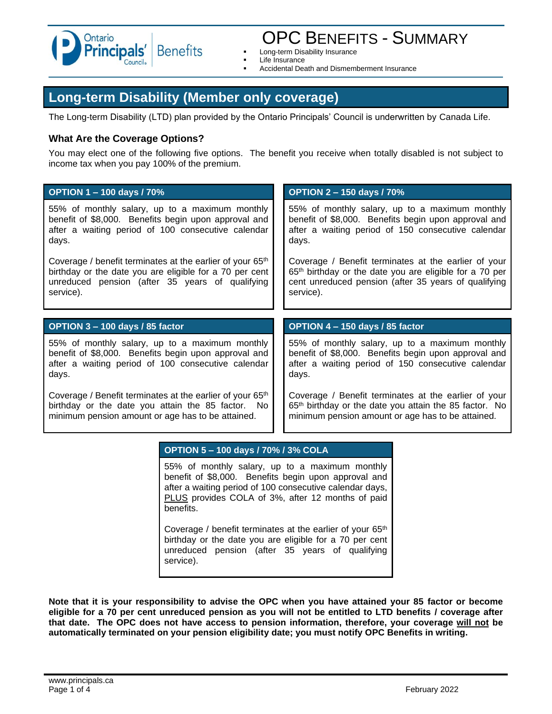

# OPC BENEFITS - SUMMARY

- Long-term Disability Insurance
- **Life Insurance**
- Accidental Death and Dismemberment Insurance

# **Long-term Disability (Member only coverage)**

The Long-term Disability (LTD) plan provided by the Ontario Principals' Council is underwritten by Canada Life.

#### **What Are the Coverage Options?**

You may elect one of the following five options. The benefit you receive when totally disabled is not subject to income tax when you pay 100% of the premium.

| <b>OPTION 1-100 days / 70%</b>                                        | <b>OPTION 2-150 days / 70%</b>                                      |
|-----------------------------------------------------------------------|---------------------------------------------------------------------|
| 55% of monthly salary, up to a maximum monthly                        | 55% of monthly salary, up to a maximum monthly                      |
| benefit of \$8,000. Benefits begin upon approval and                  | benefit of \$8,000. Benefits begin upon approval and                |
| after a waiting period of 100 consecutive calendar                    | after a waiting period of 150 consecutive calendar                  |
| days.                                                                 | days.                                                               |
| Coverage / benefit terminates at the earlier of your 65 <sup>th</sup> | Coverage / Benefit terminates at the earlier of your                |
| birthday or the date you are eligible for a 70 per cent               | 65 <sup>th</sup> birthday or the date you are eligible for a 70 per |
| unreduced pension (after 35 years of qualifying                       | cent unreduced pension (after 35 years of qualifying                |
| service).                                                             | service).                                                           |
|                                                                       |                                                                     |
| OPTION 3 - 100 days / 85 factor                                       | OPTION 4 - 150 days / 85 factor                                     |
| 55% of monthly salary, up to a maximum monthly                        | 55% of monthly salary, up to a maximum monthly                      |
| benefit of \$8,000. Benefits begin upon approval and                  | benefit of \$8,000. Benefits begin upon approval and                |
| after a waiting period of 100 consecutive calendar                    | after a waiting period of 150 consecutive calendar                  |
| days.                                                                 | days.                                                               |

#### **OPTION 5 – 100 days / 70% / 3% COLA**

55% of monthly salary, up to a maximum monthly benefit of \$8,000. Benefits begin upon approval and after a waiting period of 100 consecutive calendar days, PLUS provides COLA of 3%, after 12 months of paid benefits.

Coverage / benefit terminates at the earlier of your 65<sup>th</sup> birthday or the date you are eligible for a 70 per cent unreduced pension (after 35 years of qualifying service).

**Note that it is your responsibility to advise the OPC when you have attained your 85 factor or become eligible for a 70 per cent unreduced pension as you will not be entitled to LTD benefits / coverage after that date. The OPC does not have access to pension information, therefore, your coverage will not be automatically terminated on your pension eligibility date; you must notify OPC Benefits in writing.**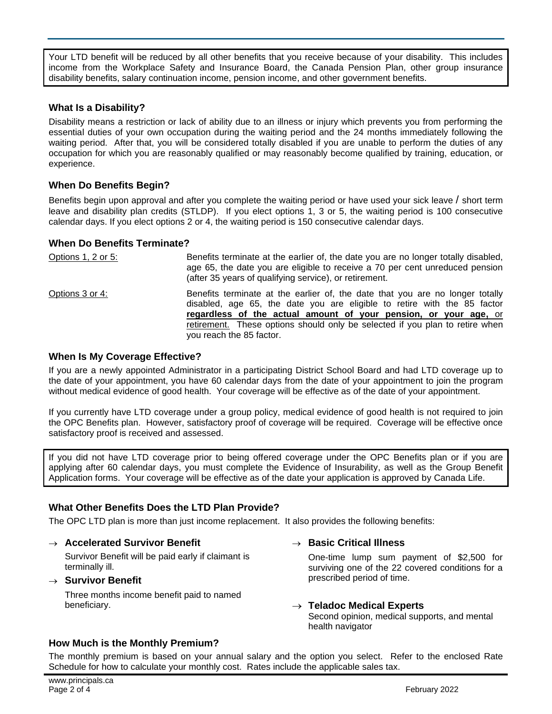Your LTD benefit will be reduced by all other benefits that you receive because of your disability. This includes income from the Workplace Safety and Insurance Board, the Canada Pension Plan, other group insurance disability benefits, salary continuation income, pension income, and other government benefits.

# **What Is a Disability?**

Disability means a restriction or lack of ability due to an illness or injury which prevents you from performing the essential duties of your own occupation during the waiting period and the 24 months immediately following the waiting period. After that, you will be considered totally disabled if you are unable to perform the duties of any occupation for which you are reasonably qualified or may reasonably become qualified by training, education, or experience.

# **When Do Benefits Begin?**

Benefits begin upon approval and after you complete the waiting period or have used your sick leave / short term leave and disability plan credits (STLDP). If you elect options 1, 3 or 5, the waiting period is 100 consecutive calendar days. If you elect options 2 or 4, the waiting period is 150 consecutive calendar days.

# **When Do Benefits Terminate?**

| Options 1, 2 or 5: | Benefits terminate at the earlier of, the date you are no longer totally disabled,<br>age 65, the date you are eligible to receive a 70 per cent unreduced pension<br>(after 35 years of qualifying service), or retirement.                                                                                                              |
|--------------------|-------------------------------------------------------------------------------------------------------------------------------------------------------------------------------------------------------------------------------------------------------------------------------------------------------------------------------------------|
| Options 3 or 4:    | Benefits terminate at the earlier of, the date that you are no longer totally<br>disabled, age 65, the date you are eligible to retire with the 85 factor<br>regardless of the actual amount of your pension, or your age, or<br>retirement. These options should only be selected if you plan to retire when<br>you reach the 85 factor. |

# **When Is My Coverage Effective?**

If you are a newly appointed Administrator in a participating District School Board and had LTD coverage up to the date of your appointment, you have 60 calendar days from the date of your appointment to join the program without medical evidence of good health. Your coverage will be effective as of the date of your appointment.

If you currently have LTD coverage under a group policy, medical evidence of good health is not required to join the OPC Benefits plan. However, satisfactory proof of coverage will be required. Coverage will be effective once satisfactory proof is received and assessed.

If you did not have LTD coverage prior to being offered coverage under the OPC Benefits plan or if you are applying after 60 calendar days, you must complete the Evidence of Insurability, as well as the Group Benefit Application forms. Your coverage will be effective as of the date your application is approved by Canada Life.

# **What Other Benefits Does the LTD Plan Provide?**

The OPC LTD plan is more than just income replacement. It also provides the following benefits:

# → **Accelerated Survivor Benefit**

Survivor Benefit will be paid early if claimant is terminally ill.

#### → **Survivor Benefit**

Three months income benefit paid to named beneficiary.

#### → **Basic Critical Illness**

One-time lump sum payment of \$2,500 for surviving one of the 22 covered conditions for a prescribed period of time.

#### → **Teladoc Medical Experts**

Second opinion, medical supports, and mental health navigator

# **How Much is the Monthly Premium?**

The monthly premium is based on your annual salary and the option you select. Refer to the enclosed Rate Schedule for how to calculate your monthly cost. Rates include the applicable sales tax.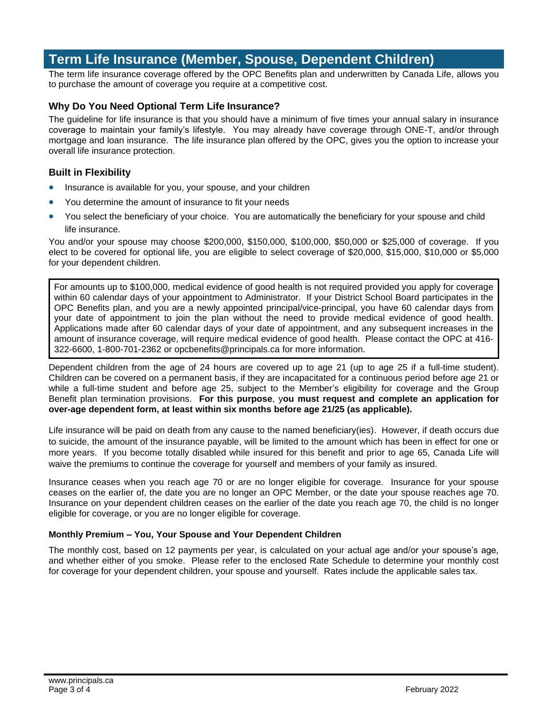# **Term Life Insurance (Member, Spouse, Dependent Children)**

The term life insurance coverage offered by the OPC Benefits plan and underwritten by Canada Life, allows you to purchase the amount of coverage you require at a competitive cost.

#### **Why Do You Need Optional Term Life Insurance?**

The guideline for life insurance is that you should have a minimum of five times your annual salary in insurance coverage to maintain your family's lifestyle. You may already have coverage through ONE-T, and/or through mortgage and loan insurance. The life insurance plan offered by the OPC, gives you the option to increase your overall life insurance protection.

#### **Built in Flexibility**

- Insurance is available for you, your spouse, and your children
- You determine the amount of insurance to fit your needs
- You select the beneficiary of your choice. You are automatically the beneficiary for your spouse and child life insurance.

You and/or your spouse may choose \$200,000, \$150,000, \$100,000, \$50,000 or \$25,000 of coverage. If you elect to be covered for optional life, you are eligible to select coverage of \$20,000, \$15,000, \$10,000 or \$5,000 for your dependent children.

For amounts up to \$100,000, medical evidence of good health is not required provided you apply for coverage within 60 calendar days of your appointment to Administrator. If your District School Board participates in the OPC Benefits plan, and you are a newly appointed principal/vice-principal, you have 60 calendar days from your date of appointment to join the plan without the need to provide medical evidence of good health. Applications made after 60 calendar days of your date of appointment, and any subsequent increases in the amount of insurance coverage, will require medical evidence of good health. Please contact the OPC at 416- 322-6600, 1-800-701-2362 or opcbenefits@principals.ca for more information.

Dependent children from the age of 24 hours are covered up to age 21 (up to age 25 if a full-time student). Children can be covered on a permanent basis, if they are incapacitated for a continuous period before age 21 or while a full-time student and before age 25, subject to the Member's eligibility for coverage and the Group Benefit plan termination provisions. **For this purpose**, y**ou must request and complete an application for over-age dependent form, at least within six months before age 21/25 (as applicable).**

Life insurance will be paid on death from any cause to the named beneficiary(ies). However, if death occurs due to suicide, the amount of the insurance payable, will be limited to the amount which has been in effect for one or more years. If you become totally disabled while insured for this benefit and prior to age 65, Canada Life will waive the premiums to continue the coverage for yourself and members of your family as insured.

Insurance ceases when you reach age 70 or are no longer eligible for coverage. Insurance for your spouse ceases on the earlier of, the date you are no longer an OPC Member, or the date your spouse reaches age 70. Insurance on your dependent children ceases on the earlier of the date you reach age 70, the child is no longer eligible for coverage, or you are no longer eligible for coverage.

#### **Monthly Premium – You, Your Spouse and Your Dependent Children**

The monthly cost, based on 12 payments per year, is calculated on your actual age and/or your spouse's age, and whether either of you smoke. Please refer to the enclosed Rate Schedule to determine your monthly cost for coverage for your dependent children, your spouse and yourself. Rates include the applicable sales tax.